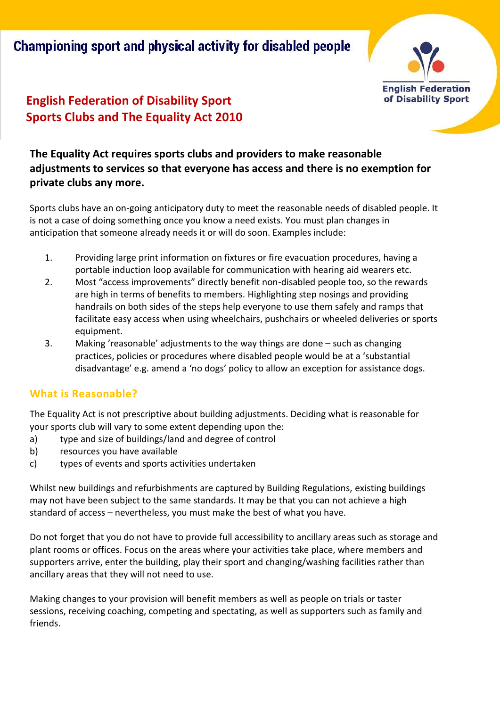Championing sport and physical activity for disabled people



## **English Federation of Disability Sport Sports Clubs and The Equality Act 2010**

### **The Equality Act requires sports clubs and providers to make reasonable adjustments to services so that everyone has access and there is no exemption for private clubs any more.**

Sports clubs have an on-going anticipatory duty to meet the reasonable needs of disabled people. It is not a case of doing something once you know a need exists. You must plan changes in anticipation that someone already needs it or will do soon. Examples include:

- 1. Providing large print information on fixtures or fire evacuation procedures, having a portable induction loop available for communication with hearing aid wearers etc.
- 2. Most "access improvements" directly benefit non-disabled people too, so the rewards are high in terms of benefits to members. Highlighting step nosings and providing handrails on both sides of the steps help everyone to use them safely and ramps that facilitate easy access when using wheelchairs, pushchairs or wheeled deliveries or sports equipment.
- 3. Making 'reasonable' adjustments to the way things are done such as changing practices, policies or procedures where disabled people would be at a 'substantial disadvantage' e.g. amend a 'no dogs' policy to allow an exception for assistance dogs.

#### **What is Reasonable?**

The Equality Act is not prescriptive about building adjustments. Deciding what is reasonable for your sports club will vary to some extent depending upon the:

- a) type and size of buildings/land and degree of control
- b) resources you have available
- c) types of events and sports activities undertaken

Whilst new buildings and refurbishments are captured by Building Regulations, existing buildings may not have been subject to the same standards. It may be that you can not achieve a high standard of access – nevertheless, you must make the best of what you have.

Do not forget that you do not have to provide full accessibility to ancillary areas such as storage and plant rooms or offices. Focus on the areas where your activities take place, where members and supporters arrive, enter the building, play their sport and changing/washing facilities rather than ancillary areas that they will not need to use.

Making changes to your provision will benefit members as well as people on trials or taster sessions, receiving coaching, competing and spectating, as well as supporters such as family and friends.